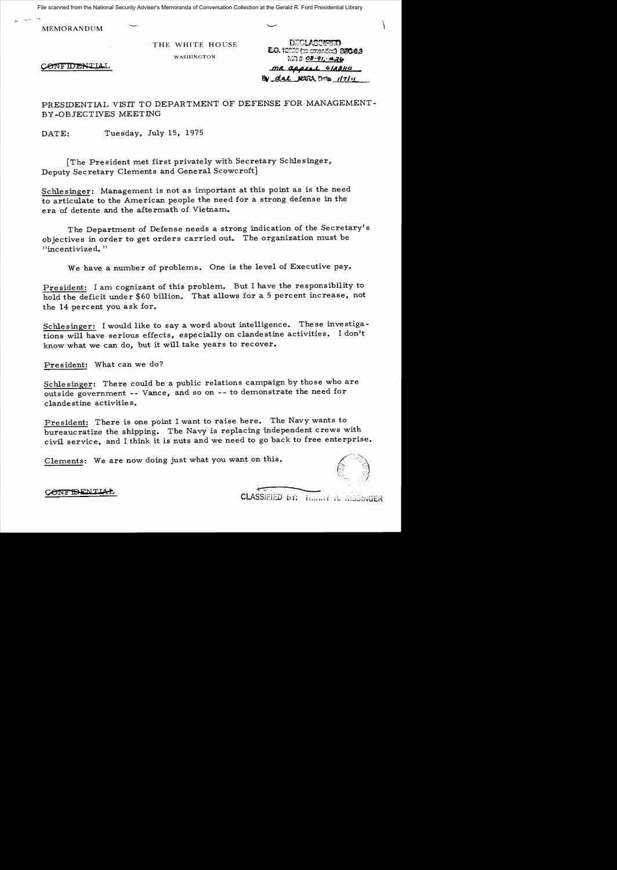File scanned from the National Security Adviser's Memoranda of Conversation Collection at the Gerald R. Ford Presidential Library

MEMORANDUM

CONFIDENTIAI

THE WHITE HOUSE **DECLASSIFIED E.O.** 12950 (examended) **036.8.3**<br>WASHINGTON  $M \rightarrow 28 - 91, 26$  $mR$  appeal 4/23/10  $Bv$  dal  $NATA$ ,  $Dw$   $1/7/11$ 

PRESIDENTIAL VISIT TO DEPARTMENT OF DEFENSE FOR MANAGEMENT-BY-OBJECTIVES MEETING

DATE: Tuesday, July 15, 1975

[The President met first privately with Secretary Schlesinger, Deputy Secretary Clements and General Scowcroft]

Schlesinger: Management is not as important at this point as is the need to articulate to the American people the need for a strong defense in the era of detente and the aftermath of Vietnam.

The Department of Defense needs a strong indication of the Secretary's objectives in order to get orders carried out. The organization must be "incentivized. "

We have a number of problems. One is the level of Executive pay.

President: I am cognizant of this problem. But I have the responsibility to hold the deficit under \$60 billion. That allows for a 5 percent increase, not the 14 percent you ask for.

Schlesinger: I would like to say a word about intelligence. These investigations will have serious effects, especially on clandestine activities. I don't know what we can do, but it will take years to recover.

President: What can we do?

Schlesinger: There could be a public relations campaign by those who are outside government -- Vance, and so on -- to demonstrate the need for clandestine activities.

President: There is one point I want to raise here. The Navy wants to bureaucratize the shipping. The Navy is replacing independent crews with civil service, and I think it is nuts and we need to go back to free enterprise.

Clements: We are now doing just what you want on this.

CONFIDENTIAL

CLASSIEIED BY: HEARY A. KISSINGER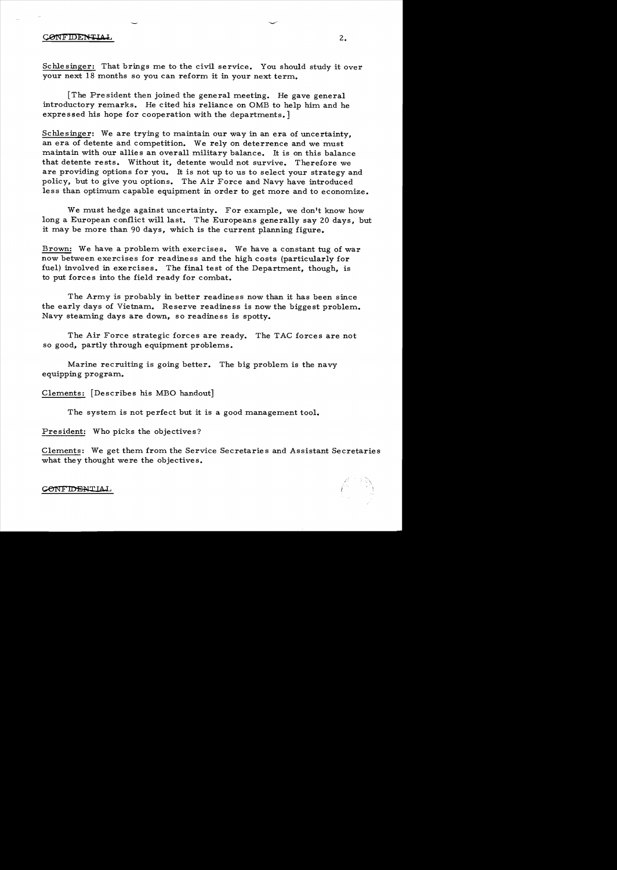## CONFIDENTIAL

Schlesinger: That brings me to the civil service. You should study it over your next 18 months so you can reform it in your next term.

[The President then joined the general meeting. He gave general introductory remarks. He cited his reliance on OMB to help him and he expressed his hope for cooperation with the departments.]

Schlesinger: We are trying to maintain our way in an era of uncertainty. an era of detente and competition. We rely on deterrence and we must maintain with our allies an overall military balance. It is on this balance that detente rests. Without it. detente would not survive. Therefore we are providing options for you. It is not up to us to select your strategy and policy. but to give you options. The Air Force and Navy have introduced less than optimum capable equipment in order to get more and to economize.

We must hedge against uncertainty. For example. we don't know how long a European conflict will last. The Europeans generally say 20 days. but it may be more than 90 days. which is the current planning figure.

Brown: We have a problem with exercises. We have a constant tug of war now between exercises for readiness and the high costs (particularly for fuel) involved in exercises. The final test of the Department. though. is to put forces into the field ready for combat.

The Army is probably in better readiness now than it has been since the early days of Vietnam. Reserve readiness is now the biggest problem. Navy steaming days are down. so readiness is spotty.

The Air Force strategic forces are ready. The TAC forces are not so good, partly through equipment problems.

Marine recruiting is going better. The big problem is the navy equipping program.

Clements: [Describes his MBO handout]

The system is not perfect but it is a good management tool.

President: Who picks the objectives?

Clements: We get them from the Service Secretaries and Assistant Secretaries what they thought were the objectives.



**CONFIDENTIAL**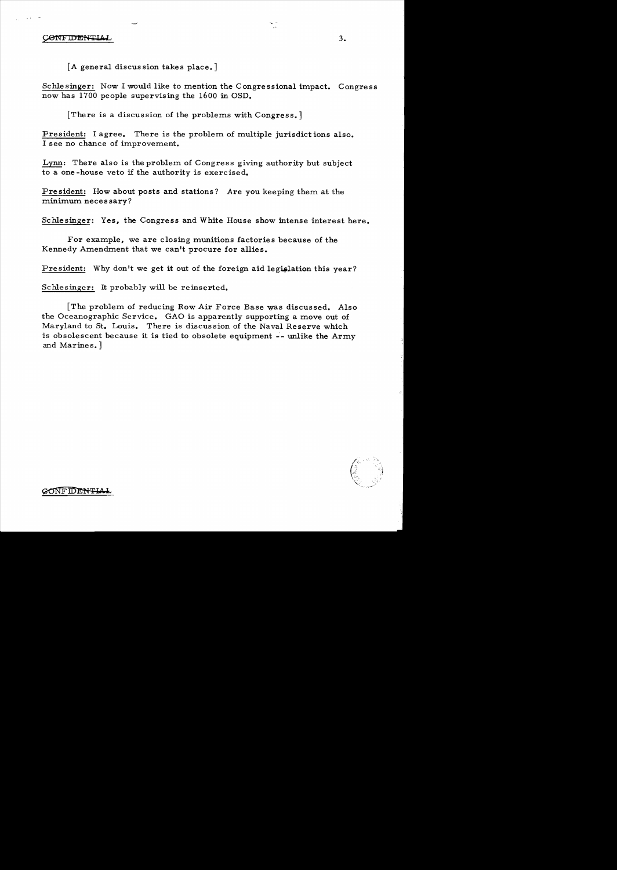## **CONFIDENTIAL**

[A general discussion takes place.]

Schlesinger: Now I would like to mention the Congressional impact. Congress now has 1700 people supervising the 1600 in OSD.

There is a discussion of the problems with Congress.

President: I agree. There is the problem of multiple jurisdictions also. I see no chance of improvement.

Lynn: There also is the problem of Congress giving authority but subject to a one -house veto if the authority is exercised.

President: How about posts and stations? Are you keeping them at the minimum necessary?

Schlesinger: Yes, the Congress and White House show intense interest here.

For example, we are closing munitions factories because of the Kennedy Amendment that we can't procure for allies.

President: Why don't we get it out of the foreign aid legislation this year?

Schlesinger: It probably will be reinserted.

[The problem. of reducing Row Air Force Base was discussed. Also the Oceanographic Service. GAO is apparently supporting a move out of Maryland to St. Louis. There is discussion of the Naval Reserve which is obsolescent because it is tied to obsolete equipment -- unlike the Army and Marines.]



**CONFIDENTIAL**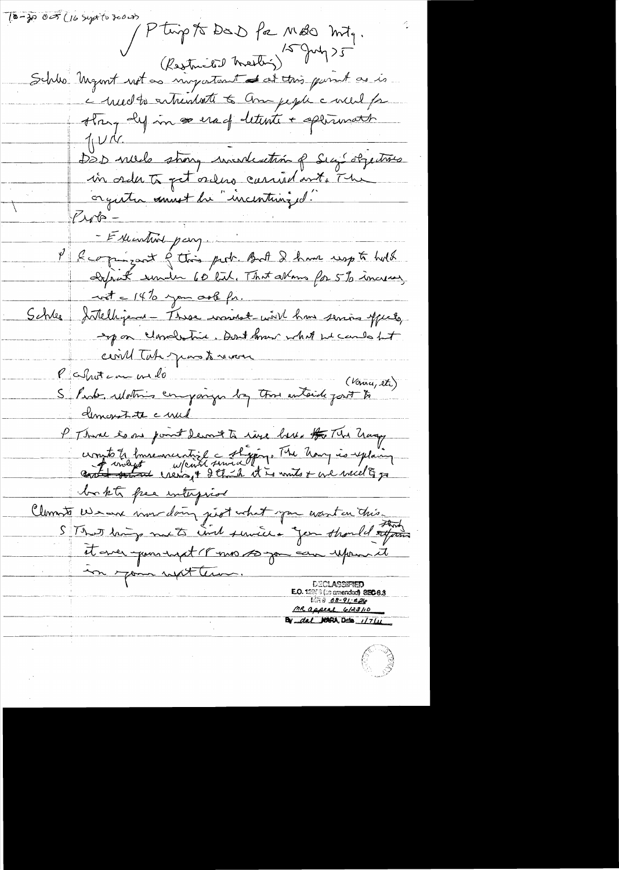(0-30 005 (16 Sept to 3000) Finite de Marin 15 mois 10 mois 10 mois 10 mois 10 mois 10 mois 10 mois 10 mois 10 mois 10 mois 10 mois 10 mois 10 mois 10 mois 10 mois 10 mois 10 mois 10 mois 10 mois 10 mois 10 mois 10 mois 10 mois 10 mois 10 mois 10 moi they dy in a erad letente + approvanch  $7144$ DOD niels strong incorditation of Sig objectives in order to get orders carried ont. The orgater ament du "incentuinged"  $1/10 =$ - Estientire pay. P & comprisont & this prob. But I have usept hold  $-$  wit =  $14\%$  you orb fr. Schles Intelligent These wonnet with how serios offects, expon clandestine. Don't know what we can be het einil Tate par tournant (Vance, et) demonstate cruel P Thank is no point derneste rive ber # The hang Novel 20 me pour aux est géner The Unix is explain bokts free interprise. Clements Weave vous doing just what you want on this it aver pour supt 18 mo 10 gou can upomment in your reform. E.O. 12353 (as amended) 850-8.3  $1.77808 - 91.426$ <u>MR appeal 6/23/10</u> By dal NARA, Date 1/7/11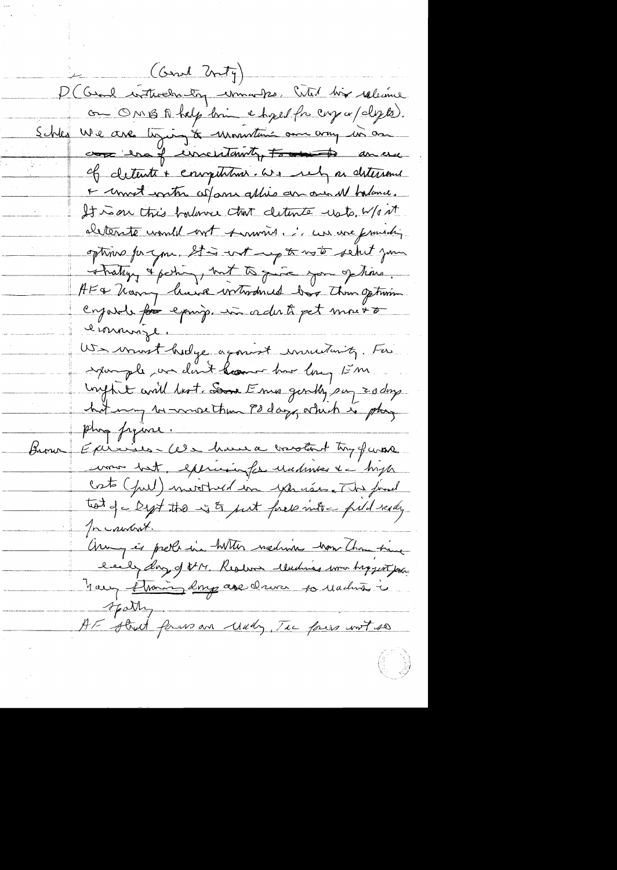(Gent Unity) D (Came writterednatory unnaughs, Certed his released on ONIBA help bin e hyed for cry or (dy to). Schles We are typing to unountain on any in an come en of uncertainty for the ancie of detente + enropitation. We rely as detersement + unnet writer colons allies an our M halance. It was this borlance that cleanter usts. W/out <u>aleterité court de mont de mondre de la comme femment ;</u> optime for you. It is not up to not set your strating & partir, but to quite you of time. AF& "having lawse wrtwomed box than option cryat for eping. in adult pet mourt l'immigle US mont hidge agonist mutuity. For inquiringle un dont home har long 15 m Uniffect will best Some Emis gently suy Edding hit may be more than 90 days, which is play Epiricis Cela home a crotert try furos Brow uon bot, exercicion for undervente de bosto costo (pul) merched in yourses. The final tot of a Dept the int find into a fuld ready In control. Arry et prele in hitter nedime vou Than time nous florin 2mp avec driver 10 Madrid à spatty. AF street form an undy, The four wort so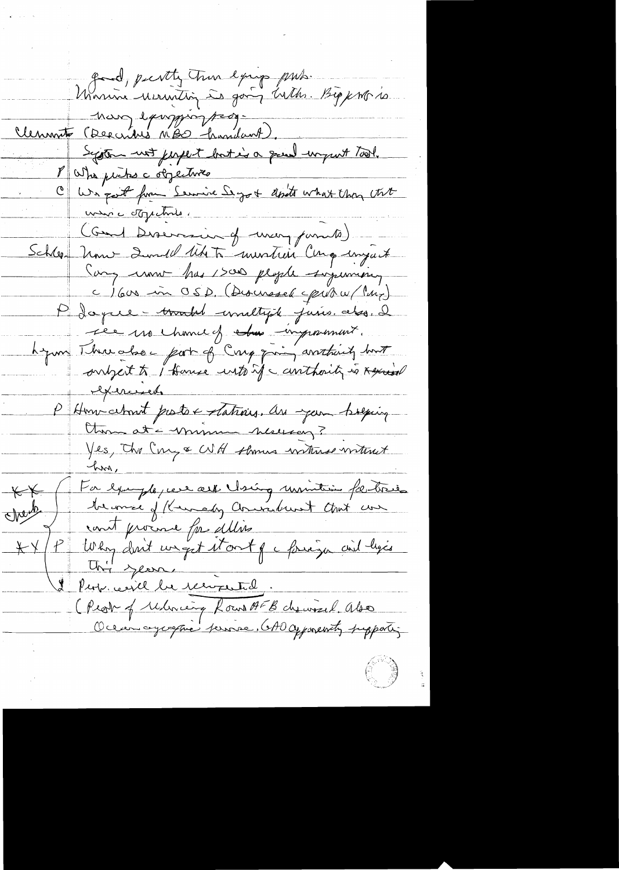Josina mercity true exige pub. Big port de non exempion ses System not just but is a great wrywit Tool.<br>The withs a objectives 8 Who pictus c objectives We got from Service Segot don't what they that unic objecture. (Gund Diservacion of when pumile) Schleen Univ 2 avril 1 th to murtin Compart Cary now has 1500 plople supermising c) 600 in OSD. (Discussed pibro/ Maz) P Joyce - tracted unaltysk juris, also, I ree no chanced the important. hymn Threacher part of Crig quin arritainity bout onlyest to I thouse unto if a conthainty is Agencial literaries P Homichant protox stations. An your brequing Otros at - minum neusag? Yes, the Cong & WH shows without without Next for example, ver aus vising université fortresse  $K$  $K$ Mente Uni year. Perse de reviserte Peop certil la recogent d.<br>(Peop of religion Rout AFB chause l. Abs